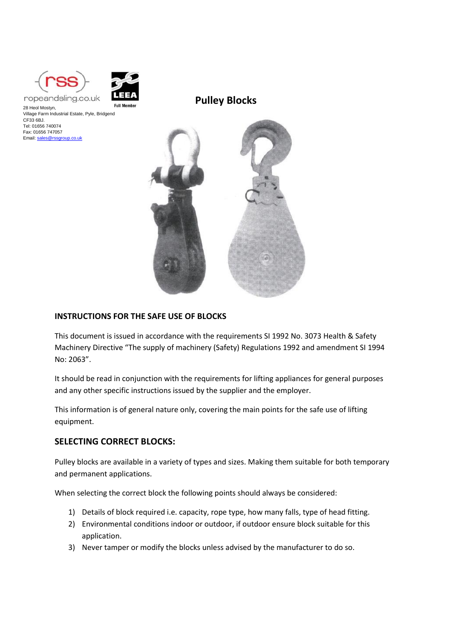

Email[: sales@rssgroup.co.uk](mailto:sales@rssgroup.co.uk)



28 Heol Mostyn, Village Farm Industrial Estate, Pyle, Bridgend CF33 6BJ. Tel: 01656 740074 Fax: 01656 747057

**Pulley Blocks**



#### **INSTRUCTIONS FOR THE SAFE USE OF BLOCKS**

This document is issued in accordance with the requirements SI 1992 No. 3073 Health & Safety Machinery Directive "The supply of machinery (Safety) Regulations 1992 and amendment SI 1994 No: 2063".

It should be read in conjunction with the requirements for lifting appliances for general purposes and any other specific instructions issued by the supplier and the employer.

This information is of general nature only, covering the main points for the safe use of lifting equipment.

## **SELECTING CORRECT BLOCKS:**

Pulley blocks are available in a variety of types and sizes. Making them suitable for both temporary and permanent applications.

When selecting the correct block the following points should always be considered:

- 1) Details of block required i.e. capacity, rope type, how many falls, type of head fitting.
- 2) Environmental conditions indoor or outdoor, if outdoor ensure block suitable for this application.
- 3) Never tamper or modify the blocks unless advised by the manufacturer to do so.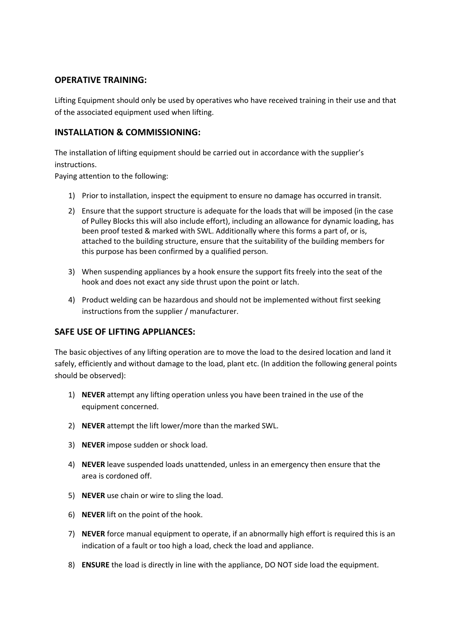# **OPERATIVE TRAINING:**

Lifting Equipment should only be used by operatives who have received training in their use and that of the associated equipment used when lifting.

## **INSTALLATION & COMMISSIONING:**

The installation of lifting equipment should be carried out in accordance with the supplier's instructions.

Paying attention to the following:

- 1) Prior to installation, inspect the equipment to ensure no damage has occurred in transit.
- 2) Ensure that the support structure is adequate for the loads that will be imposed (in the case of Pulley Blocks this will also include effort), including an allowance for dynamic loading, has been proof tested & marked with SWL. Additionally where this forms a part of, or is, attached to the building structure, ensure that the suitability of the building members for this purpose has been confirmed by a qualified person.
- 3) When suspending appliances by a hook ensure the support fits freely into the seat of the hook and does not exact any side thrust upon the point or latch.
- 4) Product welding can be hazardous and should not be implemented without first seeking instructions from the supplier / manufacturer.

## **SAFE USE OF LIFTING APPLIANCES:**

The basic objectives of any lifting operation are to move the load to the desired location and land it safely, efficiently and without damage to the load, plant etc. (In addition the following general points should be observed):

- 1) **NEVER** attempt any lifting operation unless you have been trained in the use of the equipment concerned.
- 2) **NEVER** attempt the lift lower/more than the marked SWL.
- 3) **NEVER** impose sudden or shock load.
- 4) **NEVER** leave suspended loads unattended, unless in an emergency then ensure that the area is cordoned off.
- 5) **NEVER** use chain or wire to sling the load.
- 6) **NEVER** lift on the point of the hook.
- 7) **NEVER** force manual equipment to operate, if an abnormally high effort is required this is an indication of a fault or too high a load, check the load and appliance.
- 8) **ENSURE** the load is directly in line with the appliance, DO NOT side load the equipment.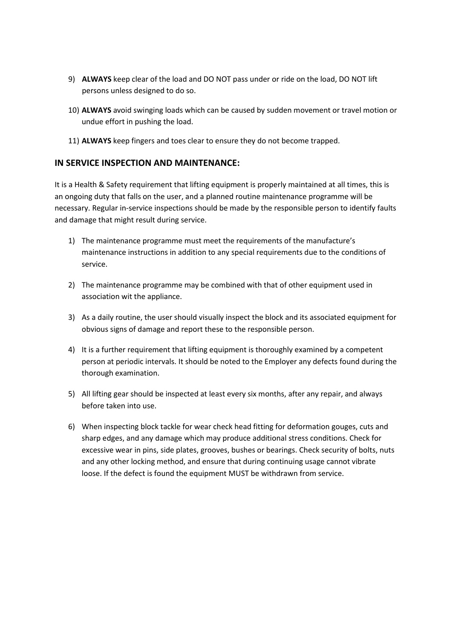- 9) **ALWAYS** keep clear of the load and DO NOT pass under or ride on the load, DO NOT lift persons unless designed to do so.
- 10) **ALWAYS** avoid swinging loads which can be caused by sudden movement or travel motion or undue effort in pushing the load.
- 11) **ALWAYS** keep fingers and toes clear to ensure they do not become trapped.

## **IN SERVICE INSPECTION AND MAINTENANCE:**

It is a Health & Safety requirement that lifting equipment is properly maintained at all times, this is an ongoing duty that falls on the user, and a planned routine maintenance programme will be necessary. Regular in-service inspections should be made by the responsible person to identify faults and damage that might result during service.

- 1) The maintenance programme must meet the requirements of the manufacture's maintenance instructions in addition to any special requirements due to the conditions of service.
- 2) The maintenance programme may be combined with that of other equipment used in association wit the appliance.
- 3) As a daily routine, the user should visually inspect the block and its associated equipment for obvious signs of damage and report these to the responsible person.
- 4) It is a further requirement that lifting equipment is thoroughly examined by a competent person at periodic intervals. It should be noted to the Employer any defects found during the thorough examination.
- 5) All lifting gear should be inspected at least every six months, after any repair, and always before taken into use.
- 6) When inspecting block tackle for wear check head fitting for deformation gouges, cuts and sharp edges, and any damage which may produce additional stress conditions. Check for excessive wear in pins, side plates, grooves, bushes or bearings. Check security of bolts, nuts and any other locking method, and ensure that during continuing usage cannot vibrate loose. If the defect is found the equipment MUST be withdrawn from service.